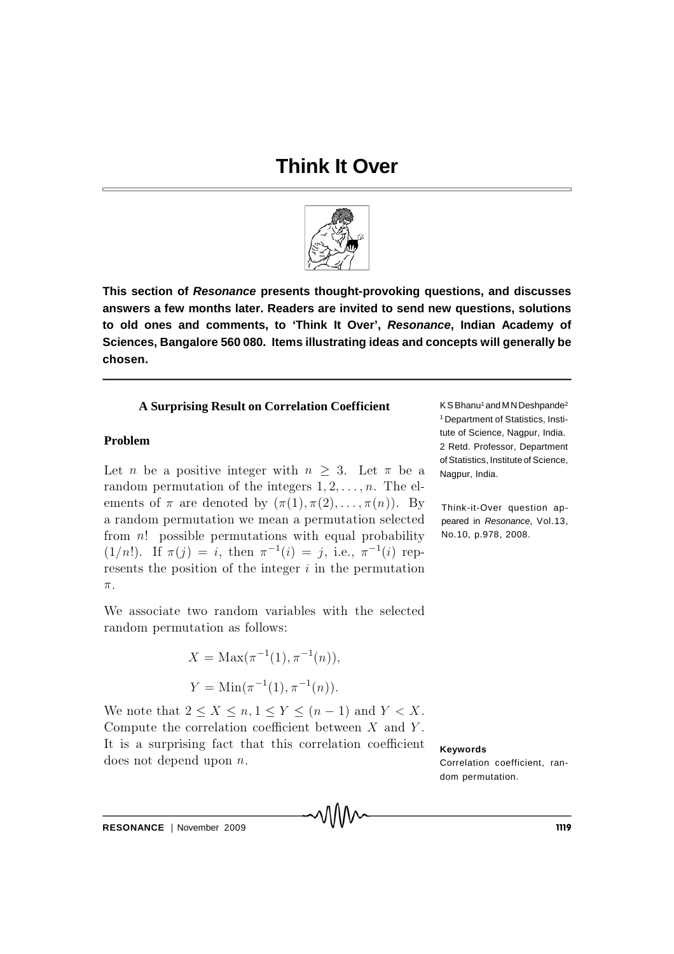# **Think It Over**



This section of Resonance presents thought-provoking questions, and discusses answers a few months later. Readers are invited to send new questions, solutions to old ones and comments, to 'Think It Over', Resonance, Indian Academy of Sciences, Bangalore 560 080. Items illustrating ideas and concepts will generally be chosen.

#### **A Surprising Result on Correlation Coefficient**

#### **Problem**

Let *n* be a positive integer with  $n \geq 3$ . Let  $\pi$  be a random permutation of the integers  $1, 2, \ldots, n$ . The elements of  $\pi$  are denoted by  $(\pi(1), \pi(2), \ldots, \pi(n))$ . By a random permutation we mean a permutation selected from  $n!$  possible permutations with equal probability  $(1/n!)$ . If  $\pi(j) = i$ , then  $\pi^{-1}(i) = j$ , i.e.,  $\pi^{-1}(i)$  represents the position of the integer  $i$  in the permutation  $\pi$ .

We associate two random variables with the selected random permutation as follows:

$$
X = \text{Max}(\pi^{-1}(1), \pi^{-1}(n)),
$$
  

$$
Y = \text{Min}(\pi^{-1}(1), \pi^{-1}(n)).
$$

We note that  $2 \leq X \leq n, 1 \leq Y \leq (n-1)$  and  $Y \leq X$ . Compute the correlation coefficient between  $X$  and  $Y$ . It is a surprising fact that this correlation coefficient does not depend upon  $n$ .

KSBhanu<sup>1</sup> and MN Deshpande<sup>2</sup> <sup>1</sup> Department of Statistics. Institute of Science, Nagpur, India. 2 Retd. Professor, Department of Statistics, Institute of Science, Nagpur, India.

Think-it-Over question appeared in Resonance, Vol.13, No.10, p.978, 2008.

**Keywords** 

Correlation coefficient, random permutation.

RESONANCE | November 2009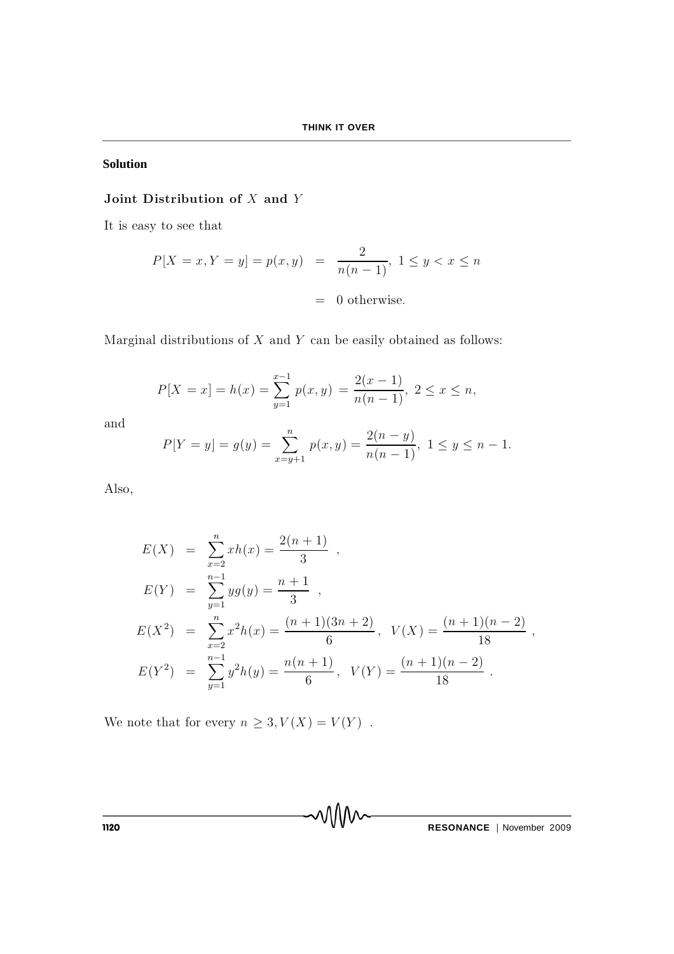### **Solution**

## Joint Distribution of  $X$  and  $Y$

It is easy to see that

$$
P[X = x, Y = y] = p(x, y) = \frac{2}{n(n-1)}, 1 \le y < x \le n
$$
\n
$$
= 0 \text{ otherwise.}
$$

Marginal distributions of  $X$  and  $Y$  can be easily obtained as follows:

$$
P[X = x] = h(x) = \sum_{y=1}^{x-1} p(x, y) = \frac{2(x-1)}{n(n-1)}, \ 2 \le x \le n,
$$

and

$$
P[Y = y] = g(y) = \sum_{x=y+1}^{n} p(x, y) = \frac{2(n-y)}{n(n-1)}, \ 1 \le y \le n-1.
$$

Also,

$$
E(X) = \sum_{x=2}^{n} xh(x) = \frac{2(n+1)}{3},
$$
  
\n
$$
E(Y) = \sum_{y=1}^{n-1} yg(y) = \frac{n+1}{3},
$$
  
\n
$$
E(X^{2}) = \sum_{x=2}^{n} x^{2}h(x) = \frac{(n+1)(3n+2)}{6}, \quad V(X) = \frac{(n+1)(n-2)}{18},
$$
  
\n
$$
E(Y^{2}) = \sum_{y=1}^{n-1} y^{2}h(y) = \frac{n(n+1)}{6}, \quad V(Y) = \frac{(n+1)(n-2)}{18}.
$$

We note that for every  $n \geq 3, V(X) = V(Y)$ .

**THESONANCE** | November 2009